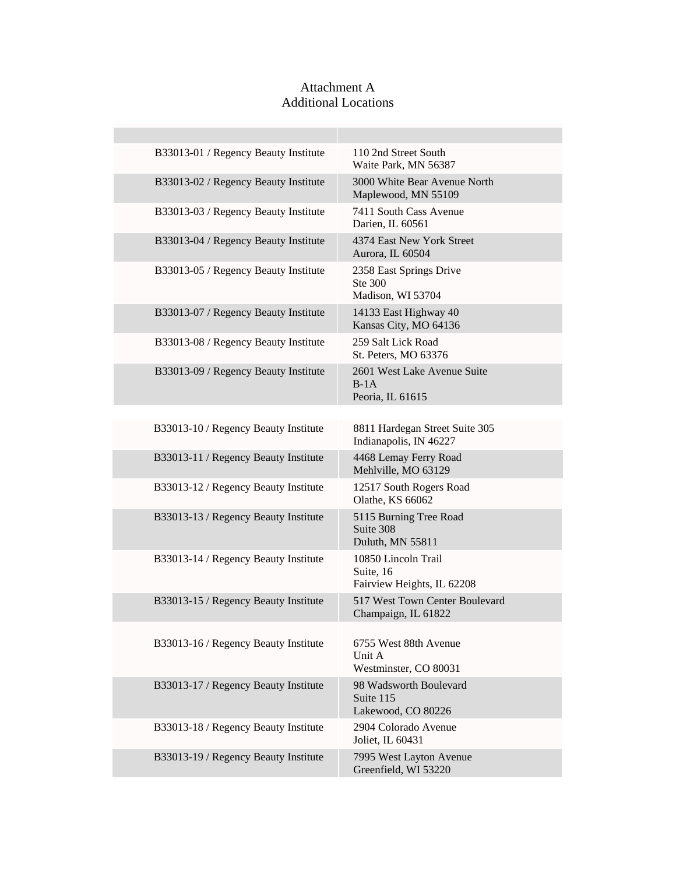## Attachment A Additional Locations

| B33013-01 / Regency Beauty Institute | 110 2nd Street South<br>Waite Park, MN 56387                   |
|--------------------------------------|----------------------------------------------------------------|
| B33013-02 / Regency Beauty Institute | 3000 White Bear Avenue North<br>Maplewood, MN 55109            |
| B33013-03 / Regency Beauty Institute | 7411 South Cass Avenue<br>Darien, IL 60561                     |
| B33013-04 / Regency Beauty Institute | 4374 East New York Street<br>Aurora, IL 60504                  |
| B33013-05 / Regency Beauty Institute | 2358 East Springs Drive<br>Ste 300<br>Madison, WI 53704        |
| B33013-07 / Regency Beauty Institute | 14133 East Highway 40<br>Kansas City, MO 64136                 |
| B33013-08 / Regency Beauty Institute | 259 Salt Lick Road<br>St. Peters, MO 63376                     |
| B33013-09 / Regency Beauty Institute | 2601 West Lake Avenue Suite<br>$B-1A$<br>Peoria, IL 61615      |
|                                      |                                                                |
| B33013-10 / Regency Beauty Institute | 8811 Hardegan Street Suite 305<br>Indianapolis, IN 46227       |
| B33013-11 / Regency Beauty Institute | 4468 Lemay Ferry Road<br>Mehlville, MO 63129                   |
| B33013-12 / Regency Beauty Institute | 12517 South Rogers Road<br>Olathe, KS 66062                    |
| B33013-13 / Regency Beauty Institute | 5115 Burning Tree Road<br>Suite 308<br>Duluth, MN 55811        |
| B33013-14 / Regency Beauty Institute | 10850 Lincoln Trail<br>Suite, 16<br>Fairview Heights, IL 62208 |
| B33013-15 / Regency Beauty Institute | 517 West Town Center Boulevard<br>Champaign, IL 61822          |
| B33013-16 / Regency Beauty Institute | 6755 West 88th Avenue<br>Unit A<br>Westminster, CO 80031       |
| B33013-17 / Regency Beauty Institute | 98 Wadsworth Boulevard<br>Suite 115<br>Lakewood, CO 80226      |
| B33013-18 / Regency Beauty Institute | 2904 Colorado Avenue<br>Joliet, IL 60431                       |
| B33013-19 / Regency Beauty Institute | 7995 West Layton Avenue<br>Greenfield, WI 53220                |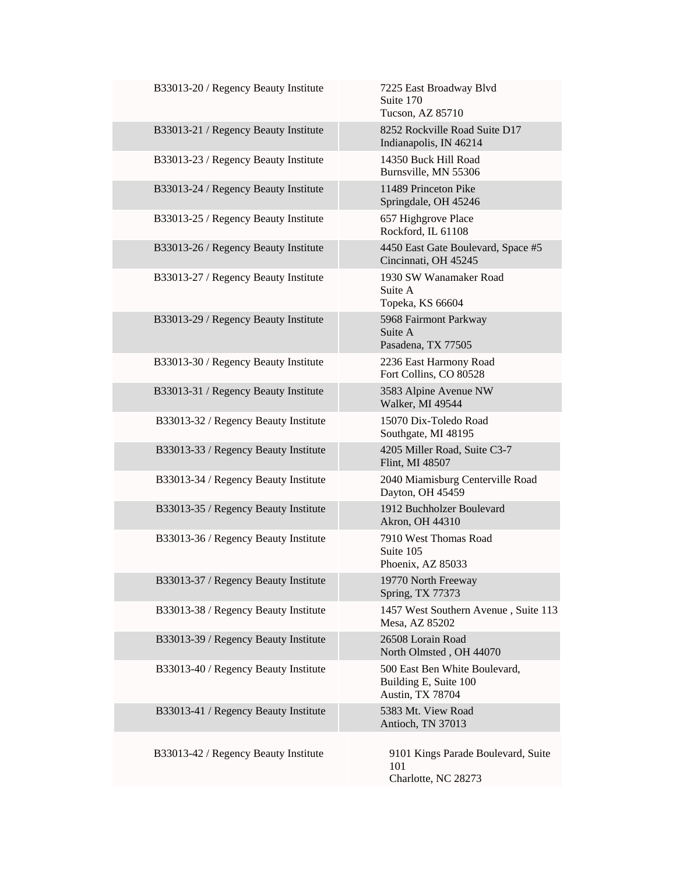| B33013-20 / Regency Beauty Institute | 7225 East Broadway Blvd<br>Suite 170<br>Tucson, AZ 85710                   |
|--------------------------------------|----------------------------------------------------------------------------|
| B33013-21 / Regency Beauty Institute | 8252 Rockville Road Suite D17<br>Indianapolis, IN 46214                    |
| B33013-23 / Regency Beauty Institute | 14350 Buck Hill Road<br>Burnsville, MN 55306                               |
| B33013-24 / Regency Beauty Institute | 11489 Princeton Pike<br>Springdale, OH 45246                               |
| B33013-25 / Regency Beauty Institute | 657 Highgrove Place<br>Rockford, IL 61108                                  |
| B33013-26 / Regency Beauty Institute | 4450 East Gate Boulevard, Space #5<br>Cincinnati, OH 45245                 |
| B33013-27 / Regency Beauty Institute | 1930 SW Wanamaker Road<br>Suite A<br>Topeka, KS 66604                      |
| B33013-29 / Regency Beauty Institute | 5968 Fairmont Parkway<br>Suite A<br>Pasadena, TX 77505                     |
| B33013-30 / Regency Beauty Institute | 2236 East Harmony Road<br>Fort Collins, CO 80528                           |
| B33013-31 / Regency Beauty Institute | 3583 Alpine Avenue NW<br>Walker, MI 49544                                  |
| B33013-32 / Regency Beauty Institute | 15070 Dix-Toledo Road<br>Southgate, MI 48195                               |
| B33013-33 / Regency Beauty Institute | 4205 Miller Road, Suite C3-7<br>Flint, MI 48507                            |
| B33013-34 / Regency Beauty Institute | 2040 Miamisburg Centerville Road<br>Dayton, OH 45459                       |
| B33013-35 / Regency Beauty Institute | 1912 Buchholzer Boulevard<br>Akron, OH 44310                               |
| B33013-36 / Regency Beauty Institute | 7910 West Thomas Road<br>Suite 105<br>Phoenix, AZ 85033                    |
| B33013-37 / Regency Beauty Institute | 19770 North Freeway<br>Spring, TX 77373                                    |
| B33013-38 / Regency Beauty Institute | 1457 West Southern Avenue, Suite 113<br>Mesa, AZ 85202                     |
| B33013-39 / Regency Beauty Institute | 26508 Lorain Road<br>North Olmsted, OH 44070                               |
| B33013-40 / Regency Beauty Institute | 500 East Ben White Boulevard,<br>Building E, Suite 100<br>Austin, TX 78704 |
| B33013-41 / Regency Beauty Institute | 5383 Mt. View Road<br>Antioch, TN 37013                                    |
| B33013-42 / Regency Beauty Institute | 9101 Kings Parade Boulevard, Suite<br>101<br>Charlotte, NC 28273           |

e<br>S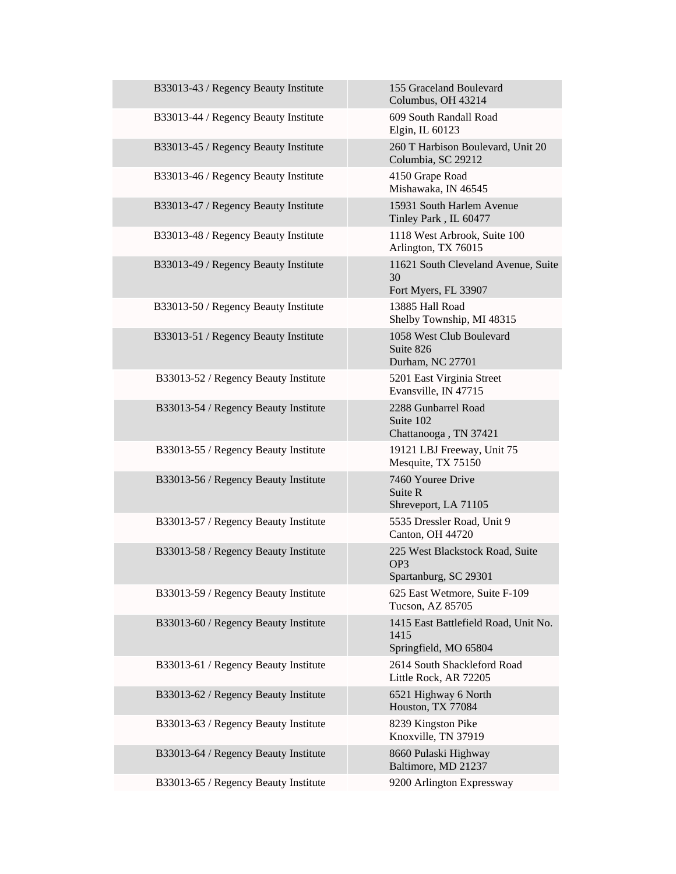| B33013-43 / Regency Beauty Institute | 155 Graceland Boulevard<br>Columbus, OH 43214                               |
|--------------------------------------|-----------------------------------------------------------------------------|
| B33013-44 / Regency Beauty Institute | 609 South Randall Road<br>Elgin, IL 60123                                   |
| B33013-45 / Regency Beauty Institute | 260 T Harbison Boulevard, Unit 20<br>Columbia, SC 29212                     |
| B33013-46 / Regency Beauty Institute | 4150 Grape Road<br>Mishawaka, IN 46545                                      |
| B33013-47 / Regency Beauty Institute | 15931 South Harlem Avenue<br>Tinley Park, IL 60477                          |
| B33013-48 / Regency Beauty Institute | 1118 West Arbrook, Suite 100<br>Arlington, TX 76015                         |
| B33013-49 / Regency Beauty Institute | 11621 South Cleveland Avenue, Suite<br>30<br>Fort Myers, FL 33907           |
| B33013-50 / Regency Beauty Institute | 13885 Hall Road<br>Shelby Township, MI 48315                                |
| B33013-51 / Regency Beauty Institute | 1058 West Club Boulevard<br>Suite 826<br>Durham, NC 27701                   |
| B33013-52 / Regency Beauty Institute | 5201 East Virginia Street<br>Evansville, IN 47715                           |
| B33013-54 / Regency Beauty Institute | 2288 Gunbarrel Road<br>Suite 102<br>Chattanooga, TN 37421                   |
| B33013-55 / Regency Beauty Institute | 19121 LBJ Freeway, Unit 75<br>Mesquite, TX 75150                            |
| B33013-56 / Regency Beauty Institute | 7460 Youree Drive<br>Suite R<br>Shreveport, LA 71105                        |
| B33013-57 / Regency Beauty Institute | 5535 Dressler Road, Unit 9<br>Canton, OH 44720                              |
| B33013-58 / Regency Beauty Institute | 225 West Blackstock Road, Suite<br>OP <sub>3</sub><br>Spartanburg, SC 29301 |
| B33013-59 / Regency Beauty Institute | 625 East Wetmore, Suite F-109<br>Tucson, AZ 85705                           |
| B33013-60 / Regency Beauty Institute | 1415 East Battlefield Road, Unit No.<br>1415<br>Springfield, MO 65804       |
| B33013-61 / Regency Beauty Institute | 2614 South Shackleford Road<br>Little Rock, AR 72205                        |
| B33013-62 / Regency Beauty Institute | 6521 Highway 6 North<br>Houston, TX 77084                                   |
| B33013-63 / Regency Beauty Institute | 8239 Kingston Pike<br>Knoxville, TN 37919                                   |
| B33013-64 / Regency Beauty Institute | 8660 Pulaski Highway<br>Baltimore, MD 21237                                 |
| B33013-65 / Regency Beauty Institute | 9200 Arlington Expressway                                                   |

I.